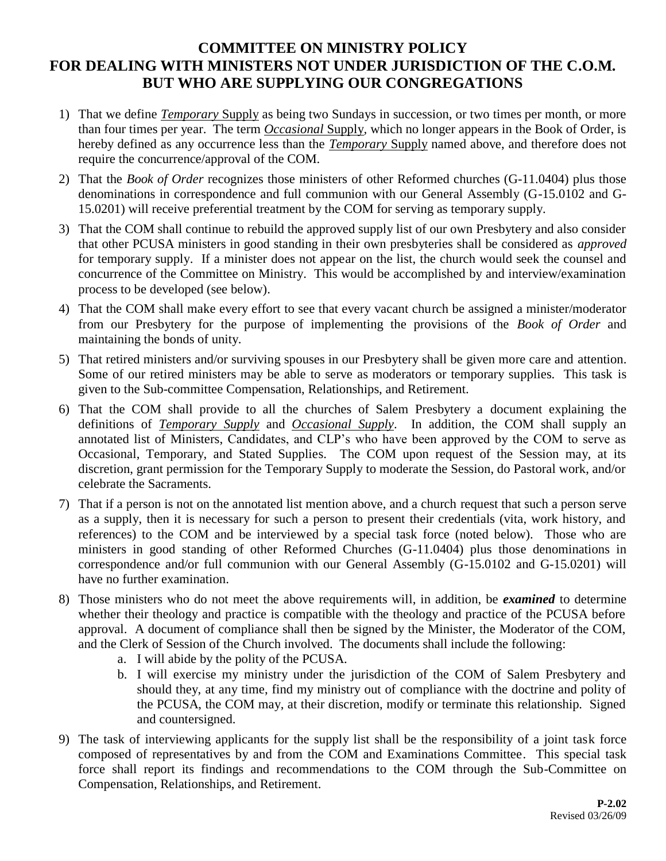## **COMMITTEE ON MINISTRY POLICY FOR DEALING WITH MINISTERS NOT UNDER JURISDICTION OF THE C.O.M. BUT WHO ARE SUPPLYING OUR CONGREGATIONS**

- 1) That we define *Temporary* Supply as being two Sundays in succession, or two times per month, or more than four times per year. The term *Occasional* Supply*,* which no longer appears in the Book of Order, is hereby defined as any occurrence less than the *Temporary* Supply named above, and therefore does not require the concurrence/approval of the COM.
- 2) That the *Book of Order* recognizes those ministers of other Reformed churches (G-11.0404) plus those denominations in correspondence and full communion with our General Assembly (G-15.0102 and G-15.0201) will receive preferential treatment by the COM for serving as temporary supply.
- 3) That the COM shall continue to rebuild the approved supply list of our own Presbytery and also consider that other PCUSA ministers in good standing in their own presbyteries shall be considered as *approved* for temporary supply. If a minister does not appear on the list, the church would seek the counsel and concurrence of the Committee on Ministry. This would be accomplished by and interview/examination process to be developed (see below).
- 4) That the COM shall make every effort to see that every vacant church be assigned a minister/moderator from our Presbytery for the purpose of implementing the provisions of the *Book of Order* and maintaining the bonds of unity.
- 5) That retired ministers and/or surviving spouses in our Presbytery shall be given more care and attention. Some of our retired ministers may be able to serve as moderators or temporary supplies. This task is given to the Sub-committee Compensation, Relationships, and Retirement.
- 6) That the COM shall provide to all the churches of Salem Presbytery a document explaining the definitions of *Temporary Supply* and *Occasional Supply*. In addition, the COM shall supply an annotated list of Ministers, Candidates, and CLP's who have been approved by the COM to serve as Occasional, Temporary, and Stated Supplies. The COM upon request of the Session may, at its discretion, grant permission for the Temporary Supply to moderate the Session, do Pastoral work, and/or celebrate the Sacraments.
- 7) That if a person is not on the annotated list mention above, and a church request that such a person serve as a supply, then it is necessary for such a person to present their credentials (vita, work history, and references) to the COM and be interviewed by a special task force (noted below). Those who are ministers in good standing of other Reformed Churches (G-11.0404) plus those denominations in correspondence and/or full communion with our General Assembly (G-15.0102 and G-15.0201) will have no further examination.
- 8) Those ministers who do not meet the above requirements will, in addition, be *examined* to determine whether their theology and practice is compatible with the theology and practice of the PCUSA before approval. A document of compliance shall then be signed by the Minister, the Moderator of the COM, and the Clerk of Session of the Church involved. The documents shall include the following:
	- a. I will abide by the polity of the PCUSA.
	- b. I will exercise my ministry under the jurisdiction of the COM of Salem Presbytery and should they, at any time, find my ministry out of compliance with the doctrine and polity of the PCUSA, the COM may, at their discretion, modify or terminate this relationship. Signed and countersigned.
- 9) The task of interviewing applicants for the supply list shall be the responsibility of a joint task force composed of representatives by and from the COM and Examinations Committee. This special task force shall report its findings and recommendations to the COM through the Sub-Committee on Compensation, Relationships, and Retirement.